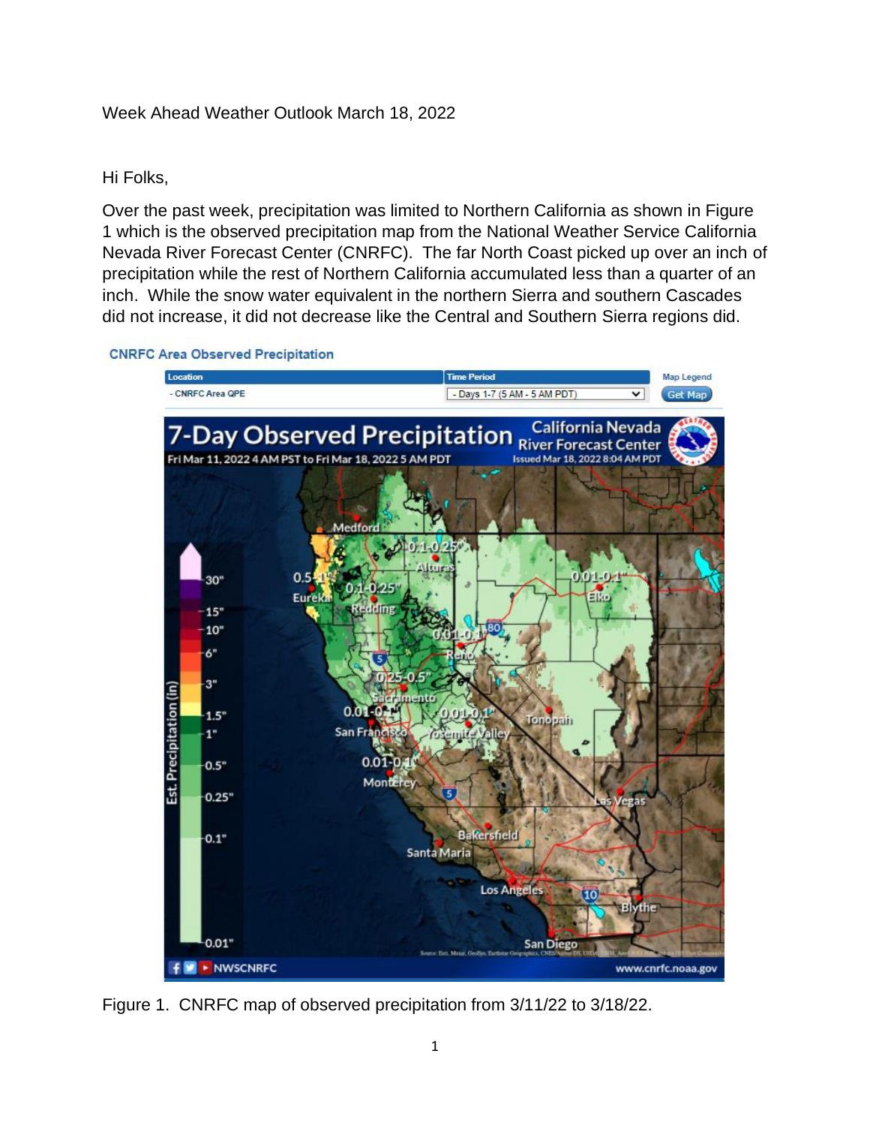## Week Ahead Weather Outlook March 18, 2022

## Hi Folks,

Over the past week, precipitation was limited to Northern California as shown in Figure 1 which is the observed precipitation map from the National Weather Service California Nevada River Forecast Center (CNRFC). The far North Coast picked up over an inch of precipitation while the rest of Northern California accumulated less than a quarter of an inch. While the snow water equivalent in the northern Sierra and southern Cascades did not increase, it did not decrease like the Central and Southern Sierra regions did.

**CNRFC Area Observed Precipitation** 



Figure 1. CNRFC map of observed precipitation from 3/11/22 to 3/18/22.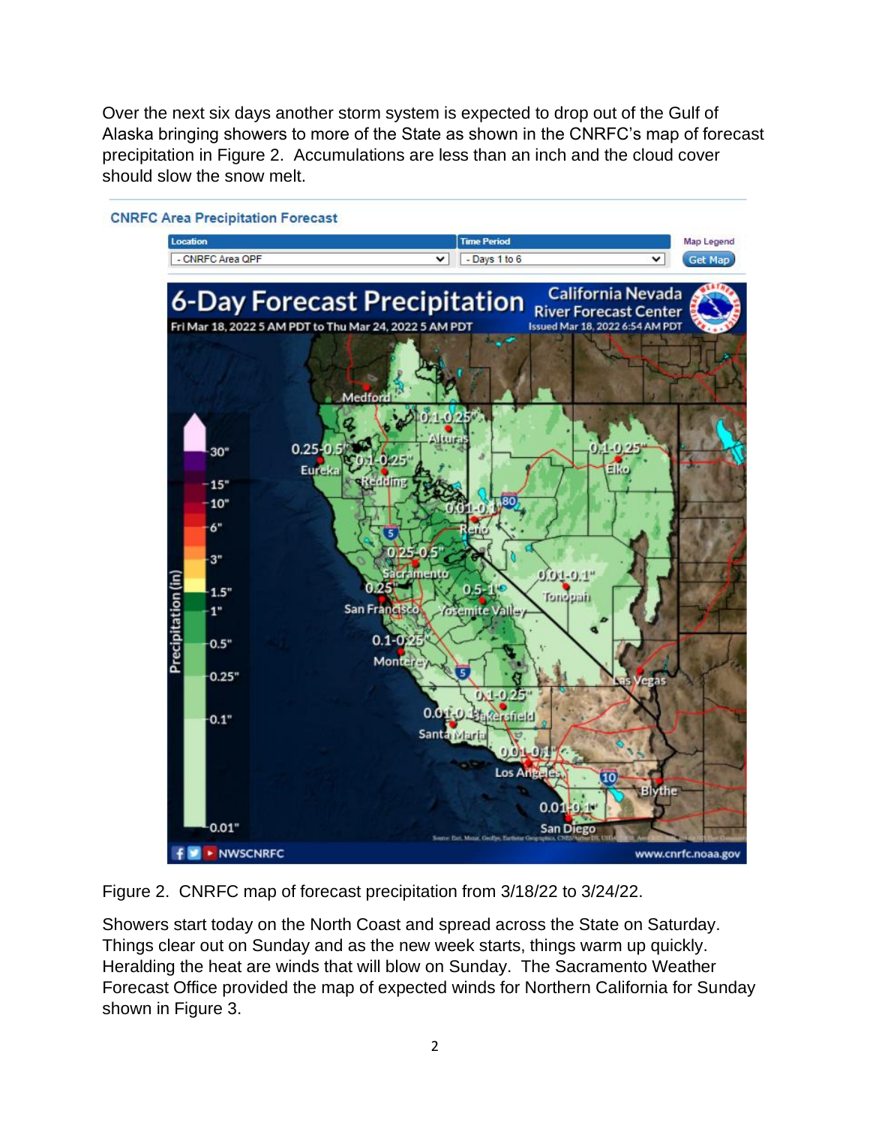Over the next six days another storm system is expected to drop out of the Gulf of Alaska bringing showers to more of the State as shown in the CNRFC's map of forecast precipitation in Figure 2. Accumulations are less than an inch and the cloud cover should slow the snow melt.



**CNRFC Area Precipitation Forecast** 

Figure 2. CNRFC map of forecast precipitation from 3/18/22 to 3/24/22.

Showers start today on the North Coast and spread across the State on Saturday. Things clear out on Sunday and as the new week starts, things warm up quickly. Heralding the heat are winds that will blow on Sunday. The Sacramento Weather Forecast Office provided the map of expected winds for Northern California for Sunday shown in Figure 3.